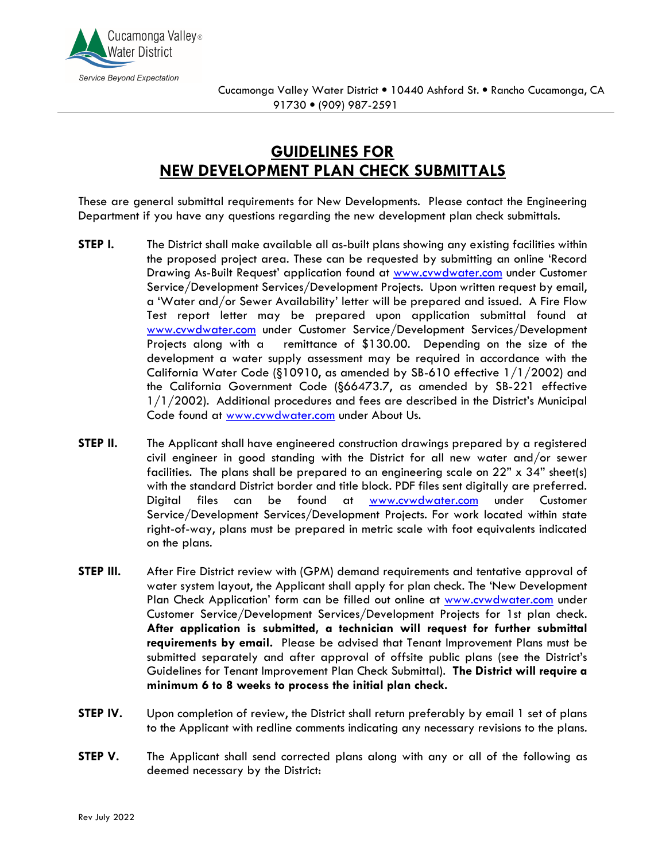

## **GUIDELINES FOR NEW DEVELOPMENT PLAN CHECK SUBMITTALS**

These are general submittal requirements for New Developments. Please contact the Engineering Department if you have any questions regarding the new development plan check submittals.

- **STEP I.** The District shall make available all as-built plans showing any existing facilities within the proposed project area. These can be requested by submitting an online 'Record Drawing As-Built Request' application found at www.cvwdwater.com under Customer Service/Development Services/Development Projects. Upon written request by email, a 'Water and/or Sewer Availability' letter will be prepared and issued. A Fire Flow Test report letter may be prepared upon application submittal found at www.cvwdwater.com under Customer Service/Development Services/Development Projects along with a remittance of \$130.00. Depending on the size of the development a water supply assessment may be required in accordance with the California Water Code (§10910, as amended by SB-610 effective 1/1/2002) and the California Government Code (§66473.7, as amended by SB-221 effective 1/1/2002). Additional procedures and fees are described in the District's Municipal Code found at www.cvwdwater.com under About Us.
- **STEP II.** The Applicant shall have engineered construction drawings prepared by a registered civil engineer in good standing with the District for all new water and/or sewer facilities. The plans shall be prepared to an engineering scale on 22" x 34" sheet(s) with the standard District border and title block. PDF files sent digitally are preferred. Digital files can be found at www.cvwdwater.com under Customer Service/Development Services/Development Projects. For work located within state right-of-way, plans must be prepared in metric scale with foot equivalents indicated on the plans.
- **STEP III.** After Fire District review with (GPM) demand requirements and tentative approval of water system layout, the Applicant shall apply for plan check. The 'New Development Plan Check Application' form can be filled out online at www.cvwdwater.com under Customer Service/Development Services/Development Projects for 1st plan check. **After application is submitted, a technician will request for further submittal requirements by email.** Please be advised that Tenant Improvement Plans must be submitted separately and after approval of offsite public plans (see the District's Guidelines for Tenant Improvement Plan Check Submittal). **The District will require a minimum 6 to 8 weeks to process the initial plan check.**
- **STEP IV.** Upon completion of review, the District shall return preferably by email 1 set of plans to the Applicant with redline comments indicating any necessary revisions to the plans.
- **STEP V.** The Applicant shall send corrected plans along with any or all of the following as deemed necessary by the District: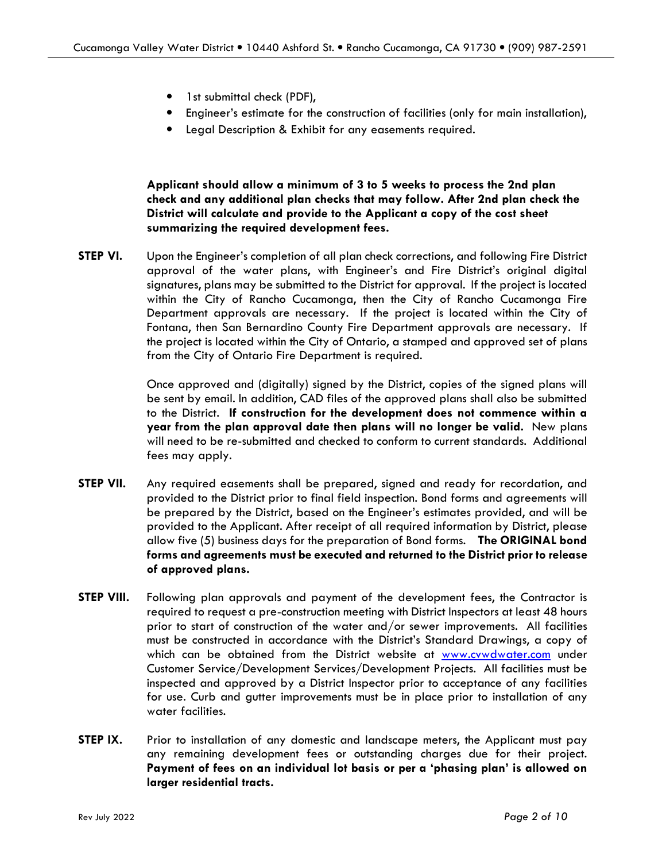- 1st submittal check (PDF),
- Engineer's estimate for the construction of facilities (only for main installation),
- Legal Description & Exhibit for any easements required.

**Applicant should allow a minimum of 3 to 5 weeks to process the 2nd plan check and any additional plan checks that may follow. After 2nd plan check the District will calculate and provide to the Applicant a copy of the cost sheet summarizing the required development fees.** 

**STEP VI.** Upon the Engineer's completion of all plan check corrections, and following Fire District approval of the water plans, with Engineer's and Fire District's original digital signatures, plans may be submitted to the District for approval. If the project is located within the City of Rancho Cucamonga, then the City of Rancho Cucamonga Fire Department approvals are necessary. If the project is located within the City of Fontana, then San Bernardino County Fire Department approvals are necessary. If the project is located within the City of Ontario, a stamped and approved set of plans from the City of Ontario Fire Department is required.

> Once approved and (digitally) signed by the District, copies of the signed plans will be sent by email. In addition, CAD files of the approved plans shall also be submitted to the District. **If construction for the development does not commence within a year from the plan approval date then plans will no longer be valid.** New plans will need to be re-submitted and checked to conform to current standards. Additional fees may apply.

- **STEP VII.** Any required easements shall be prepared, signed and ready for recordation, and provided to the District prior to final field inspection. Bond forms and agreements will be prepared by the District, based on the Engineer's estimates provided, and will be provided to the Applicant. After receipt of all required information by District, please allow five (5) business days for the preparation of Bond forms. **The ORIGINAL bond forms and agreements must be executed and returned to the District prior to release of approved plans.**
- **STEP VIII.** Following plan approvals and payment of the development fees, the Contractor is required to request a pre-construction meeting with District Inspectors at least 48 hours prior to start of construction of the water and/or sewer improvements. All facilities must be constructed in accordance with the District's Standard Drawings, a copy of which can be obtained from the District website at www.cvwdwater.com under Customer Service/Development Services/Development Projects. All facilities must be inspected and approved by a District Inspector prior to acceptance of any facilities for use. Curb and gutter improvements must be in place prior to installation of any water facilities.
- **STEP IX.** Prior to installation of any domestic and landscape meters, the Applicant must pay any remaining development fees or outstanding charges due for their project. **Payment of fees on an individual lot basis or per a 'phasing plan' is allowed on larger residential tracts.**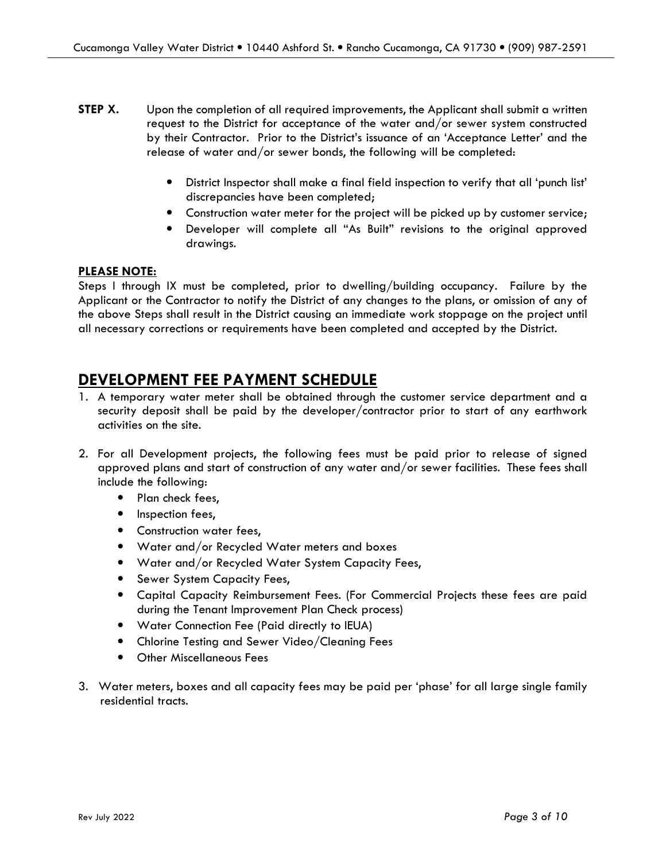- **STEP X.** Upon the completion of all required improvements, the Applicant shall submit a written request to the District for acceptance of the water and/or sewer system constructed by their Contractor. Prior to the District's issuance of an 'Acceptance Letter' and the release of water and/or sewer bonds, the following will be completed:
	- District Inspector shall make a final field inspection to verify that all 'punch list' discrepancies have been completed;
	- Construction water meter for the project will be picked up by customer service;
	- Developer will complete all "As Built" revisions to the original approved drawings.

#### **PLEASE NOTE:**

Steps I through IX must be completed, prior to dwelling/building occupancy. Failure by the Applicant or the Contractor to notify the District of any changes to the plans, or omission of any of the above Steps shall result in the District causing an immediate work stoppage on the project until all necessary corrections or requirements have been completed and accepted by the District.

### **DEVELOPMENT FEE PAYMENT SCHEDULE**

- 1. A temporary water meter shall be obtained through the customer service department and a security deposit shall be paid by the developer/contractor prior to start of any earthwork activities on the site.
- 2. For all Development projects, the following fees must be paid prior to release of signed approved plans and start of construction of any water and/or sewer facilities. These fees shall include the following:
	- Plan check fees,
	- Inspection fees,
	- Construction water fees,
	- Water and/or Recycled Water meters and boxes
	- Water and/or Recycled Water System Capacity Fees,
	- Sewer System Capacity Fees,
	- Capital Capacity Reimbursement Fees. (For Commercial Projects these fees are paid during the Tenant Improvement Plan Check process)
	- Water Connection Fee (Paid directly to IEUA)
	- Chlorine Testing and Sewer Video/Cleaning Fees
	- Other Miscellaneous Fees
- 3. Water meters, boxes and all capacity fees may be paid per 'phase' for all large single family residential tracts.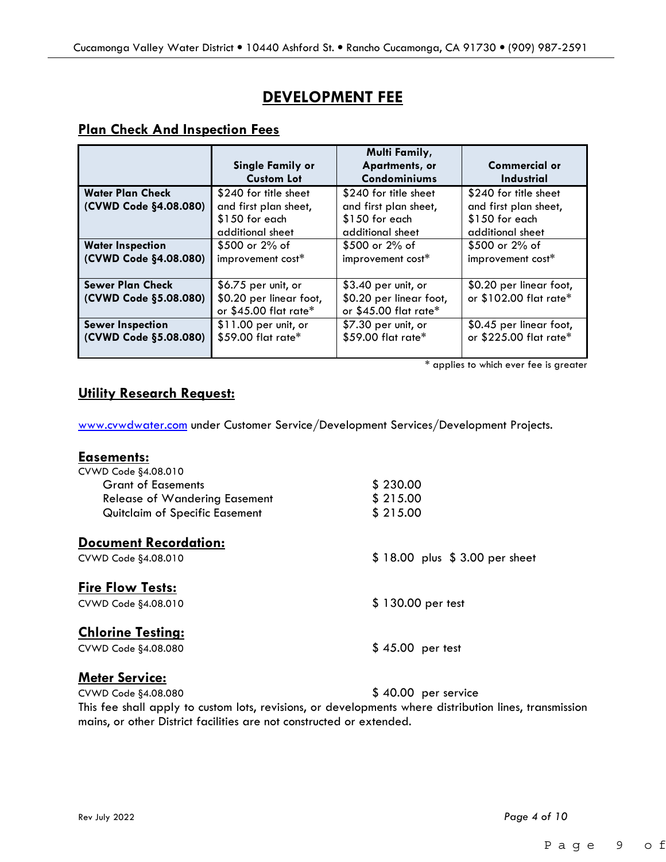## **DEVELOPMENT FEE**

#### **Plan Check And Inspection Fees**

|                         | <b>Single Family or</b><br><b>Custom Lot</b> | <b>Multi Family,</b><br>Apartments, or<br>Condominiums | <b>Commercial or</b><br>Industrial |  |  |  |
|-------------------------|----------------------------------------------|--------------------------------------------------------|------------------------------------|--|--|--|
| <b>Water Plan Check</b> | \$240 for title sheet                        | \$240 for title sheet                                  | \$240 for title sheet              |  |  |  |
| (CVWD Code §4.08.080)   | and first plan sheet,                        | and first plan sheet,                                  | and first plan sheet,              |  |  |  |
|                         | $$150$ for each                              | \$150 for each                                         | \$150 for each                     |  |  |  |
|                         | additional sheet                             | additional sheet                                       | additional sheet                   |  |  |  |
| <b>Water Inspection</b> | \$500 or 2% of                               | $$500$ or 2% of                                        | $$500$ or 2% of                    |  |  |  |
| (CVWD Code §4.08.080)   | improvement cost*                            | improvement cost*                                      | improvement cost*                  |  |  |  |
| <b>Sewer Plan Check</b> | $$6.75$ per unit, or                         | $$3.40$ per unit, or                                   | \$0.20 per linear foot,            |  |  |  |
| (CVWD Code §5.08.080)   | \$0.20 per linear foot,                      | \$0.20 per linear foot,                                | or \$102.00 flat rate*             |  |  |  |
|                         | or \$45.00 flat rate*                        | or \$45.00 flat rate*                                  |                                    |  |  |  |
| <b>Sewer Inspection</b> | $$11.00$ per unit, or                        | \$7.30 per unit, or                                    | \$0.45 per linear foot,            |  |  |  |
| (CVWD Code §5.08.080)   | \$59.00 flat rate*                           | \$59.00 flat rate*                                     | or \$225.00 flat rate*             |  |  |  |
|                         |                                              |                                                        |                                    |  |  |  |

\* applies to which ever fee is greater

#### **Utility Research Request:**

www.cvwdwater.com under Customer Service/Development Services/Development Projects.

| <b>Easements:</b>              |                               |
|--------------------------------|-------------------------------|
| CVWD Code §4.08.010            |                               |
| <b>Grant of Easements</b>      | \$230.00                      |
| Release of Wandering Easement  | \$215.00                      |
| Quitclaim of Specific Easement | \$215.00                      |
| <b>Document Recordation:</b>   |                               |
| CVWD Code §4.08.010            | \$18.00 plus \$3.00 per sheet |
| <b>Fire Flow Tests:</b>        |                               |
| CVWD Code \$4.08.010           | \$130.00 per test             |
| <b>Chlorine Testing:</b>       |                               |
| CVWD Code §4.08.080            | $$45.00$ per test             |
|                                |                               |

## **Meter Service:**

CVWD Code §4.08.080 \$ 40.00 per service

This fee shall apply to custom lots, revisions, or developments where distribution lines, transmission mains, or other District facilities are not constructed or extended.

Rev July 2022 *Page 4 of 10*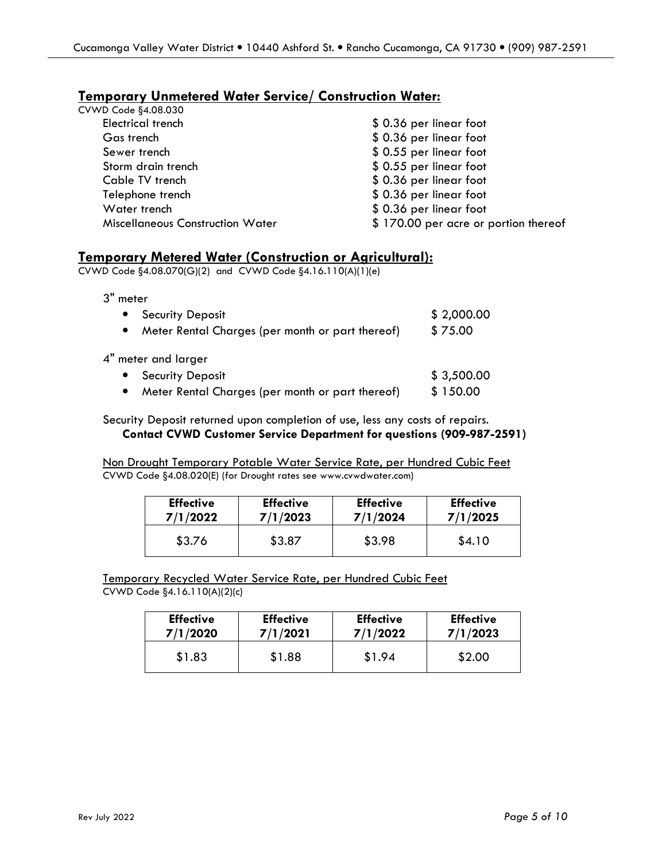### **Temporary Unmetered Water Service/ Construction Water:**

| CVWD Code §4.08.030                     |                                      |
|-----------------------------------------|--------------------------------------|
| <b>Electrical trench</b>                | \$0.36 per linear foot               |
| Gas trench                              | \$0.36 per linear foot               |
| Sewer trench                            | \$0.55 per linear foot               |
| Storm drain trench                      | \$0.55 per linear foot               |
| Cable TV trench                         | \$0.36 per linear foot               |
| Telephone trench                        | \$0.36 per linear foot               |
| Water trench                            | \$0.36 per linear foot               |
| <b>Miscellaneous Construction Water</b> | \$170.00 per acre or portion thereof |
|                                         |                                      |

#### **Temporary Metered Water (Construction or Agricultural):**

CVWD Code §4.08.070(G)(2) and CVWD Code §4.16.110(A)(1)(e)

3" meter

| <b>Security Deposit</b>                          | \$2,000.00 |
|--------------------------------------------------|------------|
| Meter Rental Charges (per month or part thereof) | \$75.00    |
| 4" meter and larger                              |            |
| • Security Deposit                               | \$3,500.00 |
| Meter Rental Charges (per month or part thereof) | \$150.00   |

Security Deposit returned upon completion of use, less any costs of repairs.  **Contact CVWD Customer Service Department for questions (909-987-2591)**

Non Drought Temporary Potable Water Service Rate, per Hundred Cubic Feet CVWD Code §4.08.020(E) (for Drought rates see www.cvwdwater.com)

| <b>Effective</b> | <b>Effective</b> | <b>Effective</b> | <b>Effective</b> |
|------------------|------------------|------------------|------------------|
| 7/1/2022         | 7/1/2023         | 7/1/2024         | 7/1/2025         |
| \$3.76           | \$3.87           | \$3.98           | \$4.10           |

Temporary Recycled Water Service Rate, per Hundred Cubic Feet CVWD Code §4.16.110(A)(2)(c)

| <b>Effective</b> | <b>Effective</b> | <b>Effective</b> | <b>Effective</b> |  |  |
|------------------|------------------|------------------|------------------|--|--|
| 7/1/2020         | 7/1/2021         | 7/1/2022         | 7/1/2023         |  |  |
| \$1.83           | \$1.88           | \$1.94           | \$2.00           |  |  |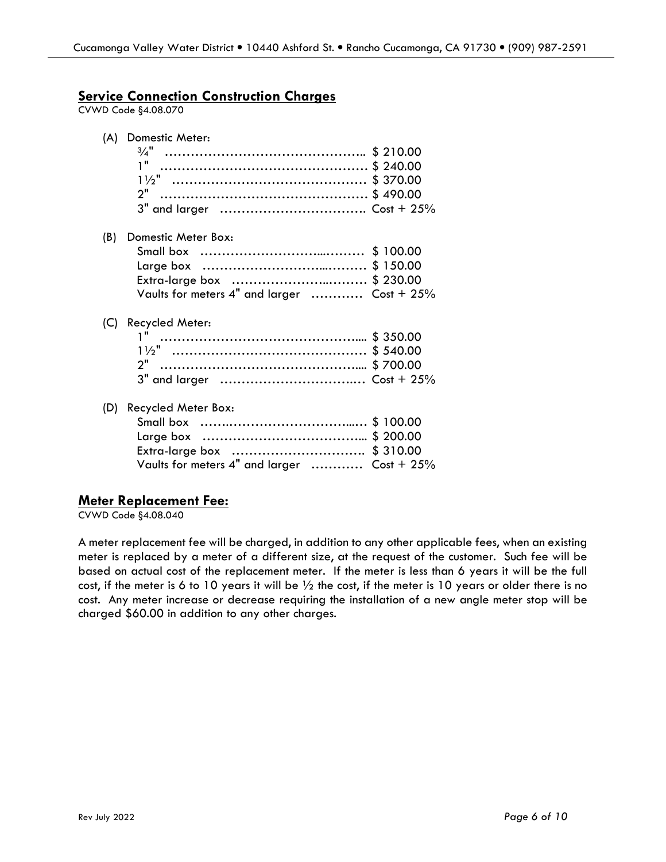#### **Service Connection Construction Charges**

CVWD Code §4.08.070

| (A) | Domestic Meter:                                                                                  |  |
|-----|--------------------------------------------------------------------------------------------------|--|
| (B) | Domestic Meter Box:<br>Extra-large box \$ 230.00<br>Vaults for meters 4" and larger  Cost + 25%  |  |
| (C) | Recycled Meter:<br>2"                                                                            |  |
| (D) | Recycled Meter Box:<br>Extra-large box  \$ 310.00<br>Vaults for meters 4" and larger  Cost + 25% |  |

#### **Meter Replacement Fee:**

CVWD Code §4.08.040

A meter replacement fee will be charged, in addition to any other applicable fees, when an existing meter is replaced by a meter of a different size, at the request of the customer. Such fee will be based on actual cost of the replacement meter. If the meter is less than 6 years it will be the full cost, if the meter is 6 to 10 years it will be  $\frac{1}{2}$  the cost, if the meter is 10 years or older there is no cost. Any meter increase or decrease requiring the installation of a new angle meter stop will be charged \$60.00 in addition to any other charges.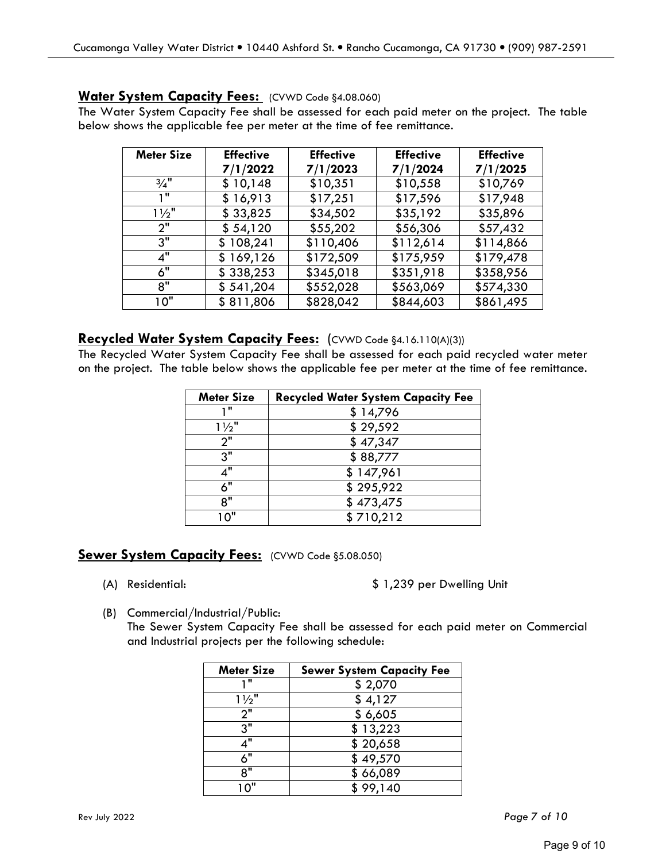#### **Water System Capacity Fees:** (CVWD Code §4.08.060)

The Water System Capacity Fee shall be assessed for each paid meter on the project. The table below shows the applicable fee per meter at the time of fee remittance.

| <b>Meter Size</b> | <b>Effective</b> | <b>Effective</b> | <b>Effective</b> | <b>Effective</b> |
|-------------------|------------------|------------------|------------------|------------------|
|                   | 7/1/2022         | 7/1/2023         | 7/1/2024         | 7/1/2025         |
| $\frac{3}{4}$ "   | \$10,148         | \$10,351         | \$10,558         | \$10,769         |
| יי ד              | \$16,913         | \$17,251         | \$17,596         | \$17,948         |
| $1\frac{1}{2}$    | \$33,825         | \$34,502         | \$35,192         | \$35,896         |
| 2"                | \$54,120         | \$55,202         | \$56,306         | \$57,432         |
| 3"                | \$108,241        | \$110,406        | \$112,614        | \$114,866        |
| 4"                | \$169,126        | \$172,509        | \$175,959        | \$179,478        |
| 6"                | \$338,253        | \$345,018        | \$351,918        | \$358,956        |
| 8"                | \$541,204        | \$552,028        | \$563,069        | \$574,330        |
| 10"               | \$811,806        | \$828,042        | \$844,603        | \$861,495        |

#### **Recycled Water System Capacity Fees:** (CVWD Code §4.16.110(A)(3))

The Recycled Water System Capacity Fee shall be assessed for each paid recycled water meter on the project. The table below shows the applicable fee per meter at the time of fee remittance.

| <b>Meter Size</b> | <b>Recycled Water System Capacity Fee</b> |
|-------------------|-------------------------------------------|
| 1 II              | \$14,796                                  |
| $1\frac{1}{2}$    | \$29,592                                  |
| 2"                | \$47,347                                  |
| 3"                | \$88,777                                  |
| 4"                | \$147,961                                 |
| 6"                | \$295,922                                 |
| 8"                | \$473,475                                 |
| $\cap$ "          | \$710,212                                 |

#### **Sewer System Capacity Fees: (CVWD Code §5.08.050)**

(A) Residential: \$ 1,239 per Dwelling Unit

(B) Commercial/Industrial/Public:

The Sewer System Capacity Fee shall be assessed for each paid meter on Commercial and Industrial projects per the following schedule:

| <b>Meter Size</b> | <b>Sewer System Capacity Fee</b> |
|-------------------|----------------------------------|
| , 11              | \$2,070                          |
| $1\frac{1}{2}$    | \$4,127                          |
| 2"                | \$6,605                          |
| $3^{\overline{}}$ | \$13,223                         |
| 1"                | \$20,658                         |
| 6"                | \$49,570                         |
| 8"                | \$66,089                         |
| $^{\circ}0"$      | \$99,140                         |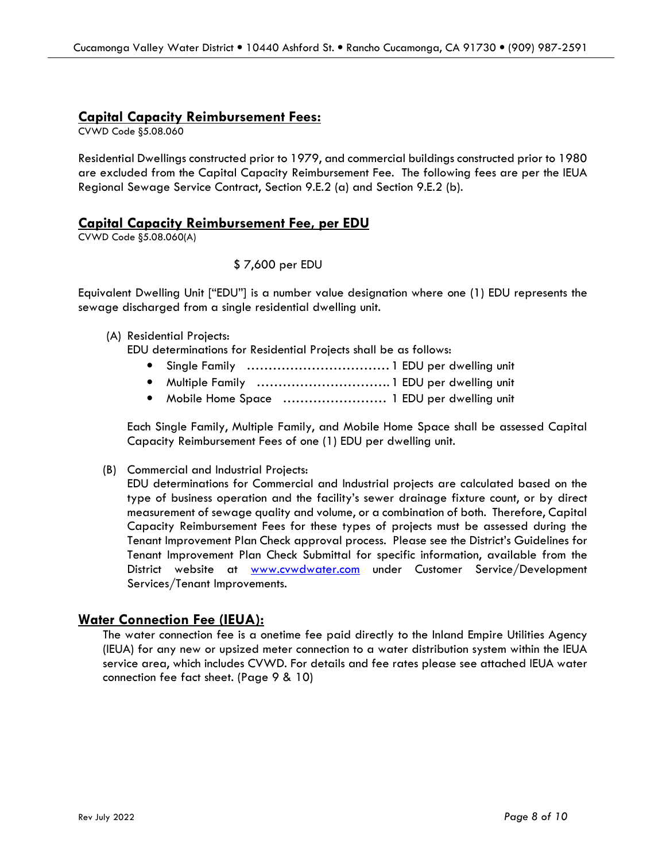#### **Capital Capacity Reimbursement Fees:**

CVWD Code §5.08.060

Residential Dwellings constructed prior to 1979, and commercial buildings constructed prior to 1980 are excluded from the Capital Capacity Reimbursement Fee. The following fees are per the IEUA Regional Sewage Service Contract, Section 9.E.2 (a) and Section 9.E.2 (b).

#### **Capital Capacity Reimbursement Fee, per EDU**

CVWD Code §5.08.060(A)

#### \$ 7,600 per EDU

Equivalent Dwelling Unit ["EDU"] is a number value designation where one (1) EDU represents the sewage discharged from a single residential dwelling unit.

#### (A) Residential Projects:

EDU determinations for Residential Projects shall be as follows:

- Single Family …………………………… 1 EDU per dwelling unit
- Multiple Family …………………………. 1 EDU per dwelling unit
- Mobile Home Space …………………… 1 EDU per dwelling unit

Each Single Family, Multiple Family, and Mobile Home Space shall be assessed Capital Capacity Reimbursement Fees of one (1) EDU per dwelling unit.

#### (B) Commercial and Industrial Projects:

EDU determinations for Commercial and Industrial projects are calculated based on the type of business operation and the facility's sewer drainage fixture count, or by direct measurement of sewage quality and volume, or a combination of both. Therefore, Capital Capacity Reimbursement Fees for these types of projects must be assessed during the Tenant Improvement Plan Check approval process. Please see the District's Guidelines for Tenant Improvement Plan Check Submittal for specific information, available from the District website at www.cvwdwater.com under Customer Service/Development Services/Tenant Improvements.

#### **Water Connection Fee (IEUA):**

The water connection fee is a onetime fee paid directly to the Inland Empire Utilities Agency (IEUA) for any new or upsized meter connection to a water distribution system within the IEUA service area, which includes CVWD. For details and fee rates please see attached IEUA water connection fee fact sheet. (Page 9 & 10)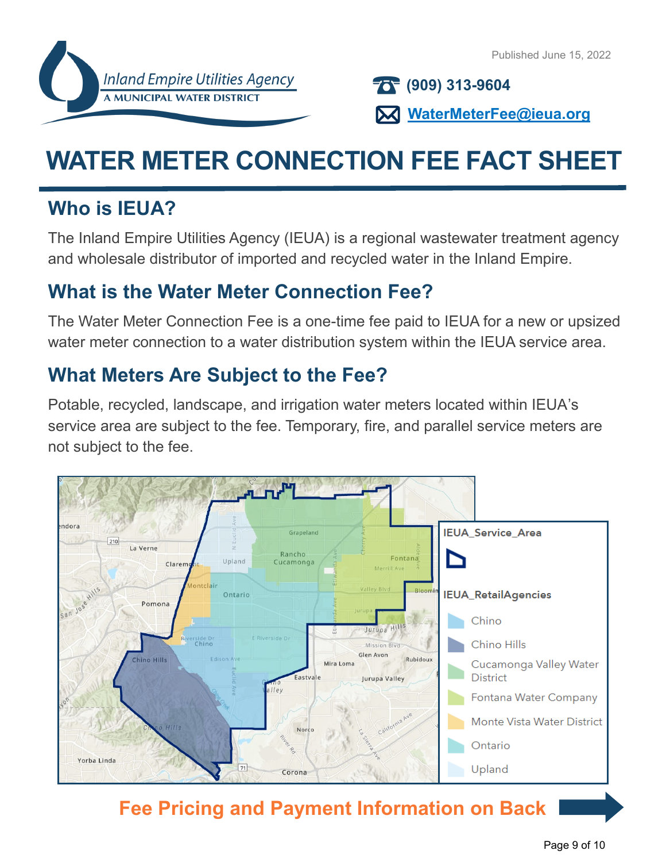**(909) 313-9604**

**WaterMeterFee@ieua.org**

# **WATER METER CONNECTION FEE FACT SHEET**

## **Who is IEUA?**

The Inland Empire Utilities Agency (IEUA) is a regional wastewater treatment agency and wholesale distributor of imported and recycled water in the Inland Empire.

## **What is the Water Meter Connection Fee?**

The Water Meter Connection Fee is a one-time fee paid to IEUA for a new or upsized water meter connection to a water distribution system within the IEUA service area.

# **What Meters Are Subject to the Fee?**

Potable, recycled, landscape, and irrigation water meters located within IEUA's service area are subject to the fee. Temporary, fire, and parallel service meters are not subject to the fee.



# **Fee Pricing and Payment Information on Back**